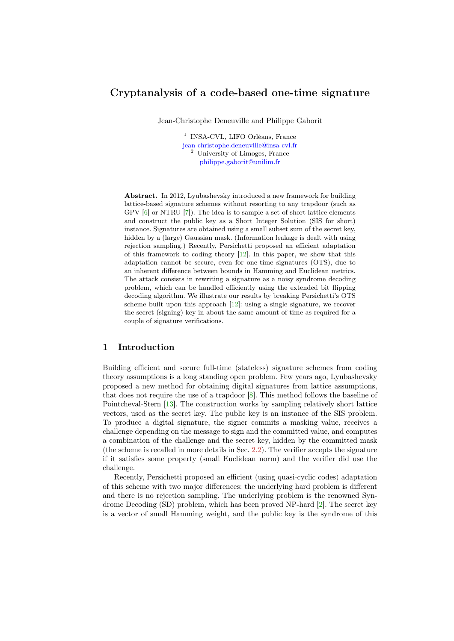# <span id="page-0-0"></span>Cryptanalysis of a code-based one-time signature

Jean-Christophe Deneuville and Philippe Gaborit

<sup>1</sup> INSA-CVL, LIFO Orléans, France [jean-christophe.deneuville@insa-cvl.fr](mailto:jean-christophe.deneuville@insa-cvl.fr) <sup>2</sup> University of Limoges, France [philippe.gaborit@unilim.fr](mailto:philippe.gaborit@unilim.fr)

Abstract. In 2012, Lyubashevsky introduced a new framework for building lattice-based signature schemes without resorting to any trapdoor (such as GPV [\[6\]](#page-9-0) or NTRU [\[7\]](#page-9-1)). The idea is to sample a set of short lattice elements and construct the public key as a Short Integer Solution (SIS for short) instance. Signatures are obtained using a small subset sum of the secret key, hidden by a (large) Gaussian mask. (Information leakage is dealt with using rejection sampling.) Recently, Persichetti proposed an efficient adaptation of this framework to coding theory [\[12\]](#page-9-2). In this paper, we show that this adaptation cannot be secure, even for one-time signatures (OTS), due to an inherent difference between bounds in Hamming and Euclidean metrics. The attack consists in rewriting a signature as a noisy syndrome decoding problem, which can be handled efficiently using the extended bit flipping decoding algorithm. We illustrate our results by breaking Persichetti's OTS scheme built upon this approach [\[12\]](#page-9-2): using a single signature, we recover the secret (signing) key in about the same amount of time as required for a couple of signature verifications.

### 1 Introduction

Building efficient and secure full-time (stateless) signature schemes from coding theory assumptions is a long standing open problem. Few years ago, Lyubashevsky proposed a new method for obtaining digital signatures from lattice assumptions, that does not require the use of a trapdoor [\[8\]](#page-9-3). This method follows the baseline of Pointcheval-Stern [\[13\]](#page-9-4). The construction works by sampling relatively short lattice vectors, used as the secret key. The public key is an instance of the SIS problem. To produce a digital signature, the signer commits a masking value, receives a challenge depending on the message to sign and the committed value, and computes a combination of the challenge and the secret key, hidden by the committed mask (the scheme is recalled in more details in Sec. [2.2\)](#page-3-0). The verifier accepts the signature if it satisfies some property (small Euclidean norm) and the verifier did use the challenge.

Recently, Persichetti proposed an efficient (using quasi-cyclic codes) adaptation of this scheme with two major differences: the underlying hard problem is different and there is no rejection sampling. The underlying problem is the renowned Syndrome Decoding (SD) problem, which has been proved NP-hard [\[2\]](#page-9-5). The secret key is a vector of small Hamming weight, and the public key is the syndrome of this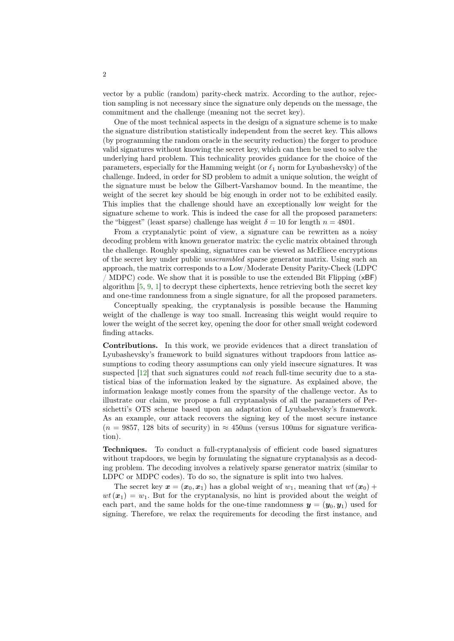<span id="page-1-0"></span>vector by a public (random) parity-check matrix. According to the author, rejection sampling is not necessary since the signature only depends on the message, the commitment and the challenge (meaning not the secret key).

One of the most technical aspects in the design of a signature scheme is to make the signature distribution statistically independent from the secret key. This allows (by programming the random oracle in the security reduction) the forger to produce valid signatures without knowing the secret key, which can then be used to solve the underlying hard problem. This technicality provides guidance for the choice of the parameters, especially for the Hamming weight (or  $\ell_1$  norm for Lyubashevsky) of the challenge. Indeed, in order for SD problem to admit a unique solution, the weight of the signature must be below the Gilbert-Varshamov bound. In the meantime, the weight of the secret key should be big enough in order not to be exhibited easily. This implies that the challenge should have an exceptionally low weight for the signature scheme to work. This is indeed the case for all the proposed parameters: the "biggest" (least sparse) challenge has weight  $\delta = 10$  for length  $n = 4801$ .

From a cryptanalytic point of view, a signature can be rewritten as a noisy decoding problem with known generator matrix: the cyclic matrix obtained through the challenge. Roughly speaking, signatures can be viewed as McEliece encryptions of the secret key under public unscrambled sparse generator matrix. Using such an approach, the matrix corresponds to a Low/Moderate Density Parity-Check (LDPC / MDPC) code. We show that it is possible to use the extended Bit Flipping (xBF) algorithm  $[5, 9, 1]$  $[5, 9, 1]$  $[5, 9, 1]$  $[5, 9, 1]$  $[5, 9, 1]$  to decrypt these ciphertexts, hence retrieving both the secret key and one-time randomness from a single signature, for all the proposed parameters.

Conceptually speaking, the cryptanalysis is possible because the Hamming weight of the challenge is way too small. Increasing this weight would require to lower the weight of the secret key, opening the door for other small weight codeword finding attacks.

Contributions. In this work, we provide evidences that a direct translation of Lyubashevsky's framework to build signatures without trapdoors from lattice assumptions to coding theory assumptions can only yield insecure signatures. It was suspected  $[12]$  that such signatures could not reach full-time security due to a statistical bias of the information leaked by the signature. As explained above, the information leakage mostly comes from the sparsity of the challenge vector. As to illustrate our claim, we propose a full cryptanalysis of all the parameters of Persichetti's OTS scheme based upon an adaptation of Lyubashevsky's framework. As an example, our attack recovers the signing key of the most secure instance  $(n = 9857, 128$  bits of security) in  $\approx 450$ ms (versus 100ms for signature verification).

Techniques. To conduct a full-cryptanalysis of efficient code based signatures without trapdoors, we begin by formulating the signature cryptanalysis as a decoding problem. The decoding involves a relatively sparse generator matrix (similar to LDPC or MDPC codes). To do so, the signature is split into two halves.

The secret key  $x = (x_0, x_1)$  has a global weight of  $w_1$ , meaning that  $wt(x_0)$  +  $wt(\mathbf{x}_1) = w_1$ . But for the cryptanalysis, no hint is provided about the weight of each part, and the same holds for the one-time randomness  $y = (y_0, y_1)$  used for signing. Therefore, we relax the requirements for decoding the first instance, and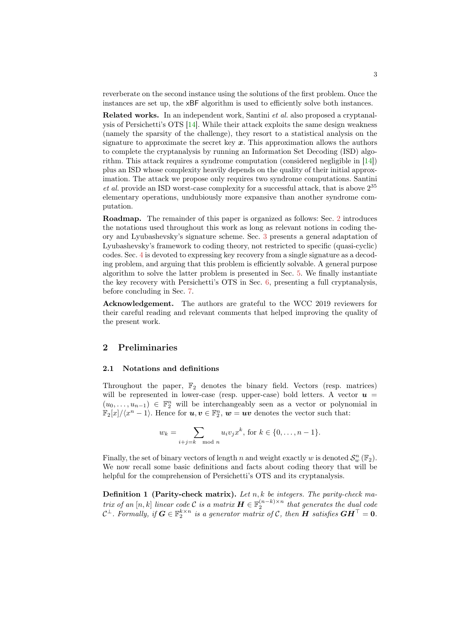<span id="page-2-1"></span>reverberate on the second instance using the solutions of the first problem. Once the instances are set up, the xBF algorithm is used to efficiently solve both instances.

Related works. In an independent work, Santini et al. also proposed a cryptanalysis of Persichetti's OTS [\[14\]](#page-9-9). While their attack exploits the same design weakness (namely the sparsity of the challenge), they resort to a statistical analysis on the signature to approximate the secret key  $x$ . This approximation allows the authors to complete the cryptanalysis by running an Information Set Decoding (ISD) algorithm. This attack requires a syndrome computation (considered negligible in [\[14\]](#page-9-9)) plus an ISD whose complexity heavily depends on the quality of their initial approximation. The attack we propose only requires two syndrome computations. Santini et al. provide an ISD worst-case complexity for a successful attack, that is above  $2^{35}$ elementary operations, undubiously more expansive than another syndrome computation.

Roadmap. The remainder of this paper is organized as follows: Sec. [2](#page-2-0) introduces the notations used throughout this work as long as relevant notions in coding theory and Lyubashevsky's signature scheme. Sec. [3](#page-3-1) presents a general adaptation of Lyubashevsky's framework to coding theory, not restricted to specific (quasi-cyclic) codes. Sec. [4](#page-5-0) is devoted to expressing key recovery from a single signature as a decoding problem, and arguing that this problem is efficiently solvable. A general purpose algorithm to solve the latter problem is presented in Sec. [5.](#page-6-0) We finally instantiate the key recovery with Persichetti's OTS in Sec. [6,](#page-6-1) presenting a full cryptanalysis, before concluding in Sec. [7.](#page-8-0)

Acknowledgement. The authors are grateful to the WCC 2019 reviewers for their careful reading and relevant comments that helped improving the quality of the present work.

#### <span id="page-2-0"></span>2 Preliminaries

#### 2.1 Notations and definitions

Throughout the paper,  $\mathbb{F}_2$  denotes the binary field. Vectors (resp. matrices) will be represented in lower-case (resp. upper-case) bold letters. A vector  $u =$  $(u_0, \ldots, u_{n-1}) \in \mathbb{F}_2^n$  will be interchangeably seen as a vector or polynomial in  $\mathbb{F}_2[x]/\langle x^n-1\rangle$ . Hence for  $u, v \in \mathbb{F}_2^n$ ,  $w = uv$  denotes the vector such that:

$$
w_k = \sum_{i+j=k \mod n} u_i v_j x^k, \text{ for } k \in \{0, \dots, n-1\}.
$$

Finally, the set of binary vectors of length n and weight exactly w is denoted  $\mathcal{S}_w^n(\mathbb{F}_2)$ . We now recall some basic definitions and facts about coding theory that will be helpful for the comprehension of Persichetti's OTS and its cryptanalysis.

**Definition 1 (Parity-check matrix).** Let  $n, k$  be integers. The parity-check matrix of an  $[n, k]$  linear code C is a matrix  $\boldsymbol{H} \in \mathbb{F}_2^{(n-k)\times n}$  that generates the dual code  $\mathcal{C}^\perp$ . Formally, if  $\bm{G} \in \mathbb{F}_2^{k \times n}$  is a generator matrix of  $\mathcal{C}$ , then  $\bm{H}$  satisfies  $\bm{G}\bm{H}^\top = \bm{0}$ .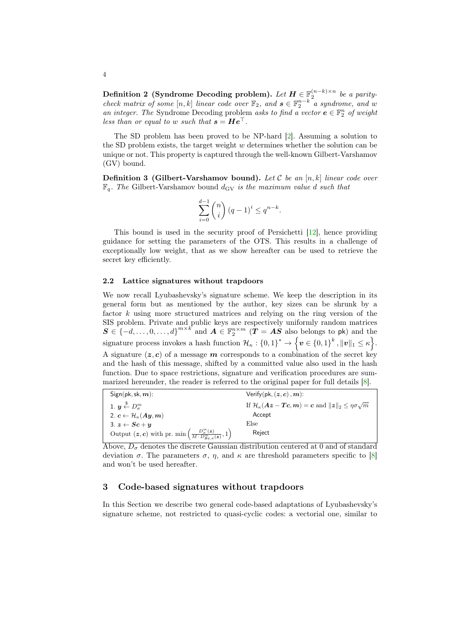<span id="page-3-2"></span>Definition 2 (Syndrome Decoding problem). Let  $H \in \mathbb{F}_2^{(n-k)\times n}$  be a paritycheck matrix of some  $[n, k]$  linear code over  $\mathbb{F}_2$ , and  $s \in \mathbb{F}_2^{n-k}$  a syndrome, and w an integer. The Syndrome Decoding problem asks to find a vector  $e \in \mathbb{F}_2^n$  of weight less than or equal to w such that  $s = He^{\perp}$ .

The SD problem has been proved to be NP-hard [\[2\]](#page-9-5). Assuming a solution to the SD problem exists, the target weight  $w$  determines whether the solution can be unique or not. This property is captured through the well-known Gilbert-Varshamov (GV) bound.

**Definition 3 (Gilbert-Varshamov bound).** Let  $\mathcal{C}$  be an [n, k] linear code over  $\mathbb{F}_q$ . The Gilbert-Varshamov bound  $d_{\text{GV}}$  is the maximum value d such that

$$
\sum_{i=0}^{d-1} \binom{n}{i} (q-1)^i \le q^{n-k}.
$$

This bound is used in the security proof of Persichetti [\[12\]](#page-9-2), hence providing guidance for setting the parameters of the OTS. This results in a challenge of exceptionally low weight, that as we show hereafter can be used to retrieve the secret key efficiently.

#### <span id="page-3-0"></span>2.2 Lattice signatures without trapdoors

We now recall Lyubashevsky's signature scheme. We keep the description in its general form but as mentioned by the author, key sizes can be shrunk by a factor k using more structured matrices and relying on the ring version of the SIS problem. Private and public keys are respectively uniformly random matrices  $S \in \{-d, \ldots, 0, \ldots, d\}^{m \times k}$  and  $A \in \mathbb{F}_2^{n \times m}$   $(T = AS$  also belongs to pk) and the signature process invokes a hash function  $\mathcal{H}_{\kappa}: \{0,1\}^* \to \left\{\boldsymbol{v} \in \{0,1\}^k, \|\boldsymbol{v}\|_1 \leq \kappa\right\}$ . A signature  $(z, c)$  of a message m corresponds to a combination of the secret key and the hash of this message, shifted by a committed value also used in the hash function. Due to space restrictions, signature and verification procedures are summarized hereunder, the reader is referred to the original paper for full details [\[8\]](#page-9-3).

| $Sign(pk, sk, m)$ :                                                                          | Verify(pk, $(z, c)$ , $m$ ):                                                                                                                                            |
|----------------------------------------------------------------------------------------------|-------------------------------------------------------------------------------------------------------------------------------------------------------------------------|
| 1. $\mathbf{u} \stackrel{\$}{\leftarrow} D_{\pi}^m$                                          | If $\mathcal{H}_{\kappa}(\boldsymbol{A}\boldsymbol{z}-\boldsymbol{T}\boldsymbol{c},\boldsymbol{m})=\boldsymbol{c}$ and $\ \boldsymbol{z}\ _{2} \leq \eta\sigma\sqrt{m}$ |
| 2. $c \leftarrow \mathcal{H}_{\kappa}(Ay,m)$                                                 | Accept                                                                                                                                                                  |
| 3. $z \leftarrow Sc+u$                                                                       | Else                                                                                                                                                                    |
| Output $(z, c)$ with pr. min $\left(\frac{D_o^m(z)}{M \cdot D_{S_c, \sigma}^m(z)}, 1\right)$ | Reject                                                                                                                                                                  |

Above,  $D_{\sigma}$  denotes the discrete Gaussian distribution centered at 0 and of standard deviation  $\sigma$ . The parameters  $\sigma$ ,  $\eta$ , and  $\kappa$  are threshold parameters specific to [\[8\]](#page-9-3) and won't be used hereafter.

## <span id="page-3-1"></span>3 Code-based signatures without trapdoors

In this Section we describe two general code-based adaptations of Lyubashevsky's signature scheme, not restricted to quasi-cyclic codes: a vectorial one, similar to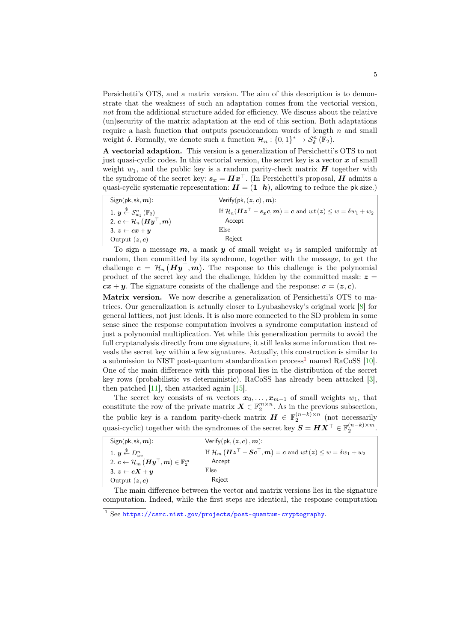<span id="page-4-1"></span>Persichetti's OTS, and a matrix version. The aim of this description is to demonstrate that the weakness of such an adaptation comes from the vectorial version, not from the additional structure added for efficiency. We discuss about the relative (un)security of the matrix adaptation at the end of this section. Both adaptations require a hash function that outputs pseudorandom words of length  $n$  and small weight  $\delta$ . Formally, we denote such a function  $\mathcal{H}_n: \{0,1\}^* \to \mathcal{S}_{\delta}^n(\mathbb{F}_2)$ .

A vectorial adaption. This version is a generalization of Persichetti's OTS to not just quasi-cyclic codes. In this vectorial version, the secret key is a vector  $x$  of small weight  $w_1$ , and the public key is a random parity-check matrix  $H$  together with the syndrome of the secret key:  $s_x = Hx^{\top}$ . (In Persichetti's proposal, H admits a quasi-cyclic systematic representation:  $H = (1 \; h)$ , allowing to reduce the pk size.)

| $Sign(pk, sk, m)$ :                                                                                       | Verify $(\mathsf{pk}, (\mathsf{z}, \mathsf{c}), \mathsf{m})$ :                     |
|-----------------------------------------------------------------------------------------------------------|------------------------------------------------------------------------------------|
| 1. $y \overset{\$}{\leftarrow} \mathcal{S}_{w_2}^n(\mathbb{F}_2)$                                         | If $\mathcal{H}_n(Hz^{\top} - s_x c, m) = c$ and $wt(z) \leq w = \delta w_1 + w_2$ |
| 2. $\boldsymbol{c} \leftarrow \mathcal{H}_n\left(\boldsymbol{H}\boldsymbol{y}^\top,\boldsymbol{m}\right)$ | Accept                                                                             |
| 3. $z \leftarrow cx + y$                                                                                  | Else                                                                               |
| Output $(z, c)$                                                                                           | Reject                                                                             |
| $\overline{ }$                                                                                            | $\cdot$ $\sim$<br>. .                                                              |

To sign a message  $m$ , a mask  $y$  of small weight  $w_2$  is sampled uniformly at random, then committed by its syndrome, together with the message, to get the challenge  $c = H_n (Hy^{\top}, m)$ . The response to this challenge is the polynomial product of the secret key and the challenge, hidden by the committed mask:  $z =$  $cx + y$ . The signature consists of the challenge and the response:  $\sigma = (z, c)$ .

Matrix version. We now describe a generalization of Persichetti's OTS to matrices. Our generalization is actually closer to Lyubashevsky's original work [\[8\]](#page-9-3) for general lattices, not just ideals. It is also more connected to the SD problem in some sense since the response computation involves a syndrome computation instead of just a polynomial multiplication. Yet while this generalization permits to avoid the full cryptanalysis directly from one signature, it still leaks some information that reveals the secret key within a few signatures. Actually, this construction is similar to a submission to NIST post-quantum standardization process<sup>[1](#page-4-0)</sup> named RaCoSS  $[10]$ . One of the main difference with this proposal lies in the distribution of the secret key rows (probabilistic vs deterministic). RaCoSS has already been attacked [\[3\]](#page-9-11), then patched  $[11]$ , then attacked again  $[15]$ .

The secret key consists of m vectors  $x_0, \ldots, x_{m-1}$  of small weights  $w_1$ , that constitute the row of the private matrix  $\mathbf{X} \in \mathbb{F}_2^{m \times n}$ . As in the previous subsection, the public key is a random parity-check matrix  $\boldsymbol{H} \in \mathbb{F}_2^{(n-k)\times n}$  (not necessarily quasi-cyclic) together with the syndromes of the secret key  $\boldsymbol{S} = \boldsymbol{H} \boldsymbol{X}^\top \in \mathbb{F}_2^{(n-k) \times m}$ .

| $Sign(pk, sk, m)$ :                                                                                                                 | Verify(pk, $(z, c)$ , m):                                                                 |
|-------------------------------------------------------------------------------------------------------------------------------------|-------------------------------------------------------------------------------------------|
| 1. $y \stackrel{\$}{\leftarrow} D_{wo}^n$                                                                                           | If $\mathcal{H}_m$ $(Hz^{\top} - Sc^{\top}, m) = c$ and $wt(z) \leq w = \delta w_1 + w_2$ |
| 2. $\boldsymbol{c} \leftarrow \mathcal{H}_m \left( \boldsymbol{H} \boldsymbol{y}^{\top}, \boldsymbol{m} \right) \in \mathbb{F}_2^m$ | Accept                                                                                    |
| 3. $z \leftarrow cX + y$                                                                                                            | Else                                                                                      |
| Output $(z, c)$                                                                                                                     | Reject                                                                                    |
| $ -$<br>___                                                                                                                         | .                                                                                         |

The main difference between the vector and matrix versions lies in the signature computation. Indeed, while the first steps are identical, the response computation

<span id="page-4-0"></span><sup>1</sup> See <https://csrc.nist.gov/projects/post-quantum-cryptography>.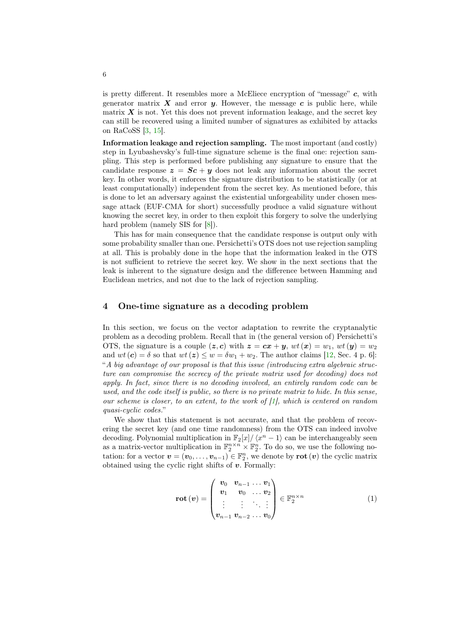<span id="page-5-1"></span>is pretty different. It resembles more a McEliece encryption of "message" c, with generator matrix  $X$  and error  $y$ . However, the message  $c$  is public here, while matrix  $X$  is not. Yet this does not prevent information leakage, and the secret key can still be recovered using a limited number of signatures as exhibited by attacks on RaCoSS [\[3,](#page-9-11) [15\]](#page-9-13).

Information leakage and rejection sampling. The most important (and costly) step in Lyubashevsky's full-time signature scheme is the final one: rejection sampling. This step is performed before publishing any signature to ensure that the candidate response  $z = Sc + y$  does not leak any information about the secret key. In other words, it enforces the signature distribution to be statistically (or at least computationally) independent from the secret key. As mentioned before, this is done to let an adversary against the existential unforgeability under chosen message attack (EUF-CMA for short) successfully produce a valid signature without knowing the secret key, in order to then exploit this forgery to solve the underlying hard problem (namely SIS for  $[8]$ ).

This has for main consequence that the candidate response is output only with some probability smaller than one. Persichetti's OTS does not use rejection sampling at all. This is probably done in the hope that the information leaked in the OTS is not sufficient to retrieve the secret key. We show in the next sections that the leak is inherent to the signature design and the difference between Hamming and Euclidean metrics, and not due to the lack of rejection sampling.

### <span id="page-5-0"></span>4 One-time signature as a decoding problem

In this section, we focus on the vector adaptation to rewrite the cryptanalytic problem as a decoding problem. Recall that in (the general version of) Persichetti's OTS, the signature is a couple  $(z, c)$  with  $z = cx + y$ ,  $wt(x) = w_1$ ,  $wt(y) = w_2$ and  $wt(c) = \delta$  so that  $wt(z) \leq w = \delta w_1 + w_2$ . The author claims [\[12,](#page-9-2) Sec. 4 p. 6]: "A big advantage of our proposal is that this issue (introducing extra algebraic structure can compromise the secrecy of the private matrix used for decoding) does not apply. In fact, since there is no decoding involved, an entirely random code can be used, and the code itself is public, so there is no private matrix to hide. In this sense, our scheme is closer, to an extent, to the work of  $[1]$ , which is centered on random quasi-cyclic codes."

We show that this statement is not accurate, and that the problem of recovering the secret key (and one time randomness) from the OTS can indeed involve decoding. Polynomial multiplication in  $\mathbb{F}_2[x]/\langle x^n-1 \rangle$  can be interchangeably seen as a matrix-vector multiplication in  $\mathbb{F}_2^{n \times n} \times \mathbb{F}_2^n$ . To do so, we use the following notation: for a vector  $\mathbf{v} = (\mathbf{v}_0, \dots, \mathbf{v}_{n-1}) \in \mathbb{F}_2^n$ , we denote by  $\mathbf{rot}(\mathbf{v})$  the cyclic matrix obtained using the cyclic right shifts of  $v$ . Formally:

$$
\text{rot} \left( v \right) = \begin{pmatrix} v_0 & v_{n-1} & \dots & v_1 \\ v_1 & v_0 & \dots & v_2 \\ \vdots & \vdots & \ddots & \vdots \\ v_{n-1} & v_{n-2} & \dots & v_0 \end{pmatrix} \in \mathbb{F}_2^{n \times n} \tag{1}
$$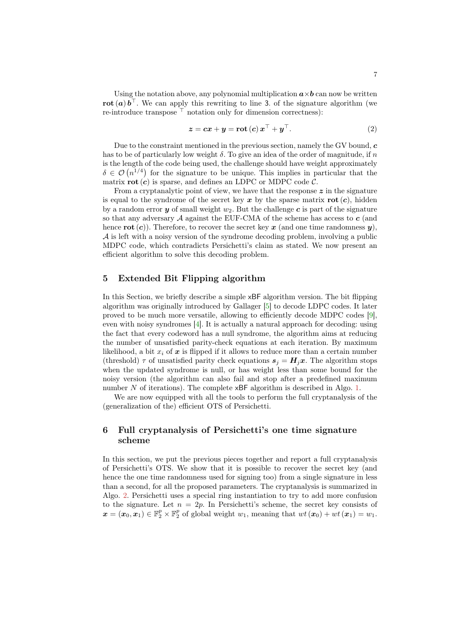<span id="page-6-2"></span>Using the notation above, any polynomial multiplication  $\mathbf{a} \times \mathbf{b}$  can now be written rot  $(a) b^{\top}$ . We can apply this rewriting to line 3. of the signature algorithm (we re-introduce transpose  $\top$  notation only for dimension correctness):

$$
z = cx + y = \operatorname{rot}(c) x^{\top} + y^{\top}.
$$
 (2)

Due to the constraint mentioned in the previous section, namely the GV bound,  $c$ has to be of particularly low weight  $\delta$ . To give an idea of the order of magnitude, if  $n$ is the length of the code being used, the challenge should have weight approximately  $\delta \in \mathcal{O}(n^{1/4})$  for the signature to be unique. This implies in particular that the matrix  $\mathbf{rot}(c)$  is sparse, and defines an LDPC or MDPC code  $\mathcal{C}$ .

From a cryptanalytic point of view, we have that the response  $z$  in the signature is equal to the syndrome of the secret key x by the sparse matrix  $\mathbf{rot}(c)$ , hidden by a random error y of small weight  $w_2$ . But the challenge c is part of the signature so that any adversary  $A$  against the EUF-CMA of the scheme has access to  $c$  (and hence  $\text{rot}(\mathbf{c})$ . Therefore, to recover the secret key  $\mathbf{x}$  (and one time randomness  $\mathbf{y}$ ),  $A$  is left with a noisy version of the syndrome decoding problem, involving a public MDPC code, which contradicts Persichetti's claim as stated. We now present an efficient algorithm to solve this decoding problem.

# <span id="page-6-0"></span>5 Extended Bit Flipping algorithm

In this Section, we briefly describe a simple xBF algorithm version. The bit flipping algorithm was originally introduced by Gallager [\[5\]](#page-9-6) to decode LDPC codes. It later proved to be much more versatile, allowing to efficiently decode MDPC codes [\[9\]](#page-9-7), even with noisy syndromes [\[4\]](#page-9-14). It is actually a natural approach for decoding: using the fact that every codeword has a null syndrome, the algorithm aims at reducing the number of unsatisfied parity-check equations at each iteration. By maximum likelihood, a bit  $x_i$  of  $x$  is flipped if it allows to reduce more than a certain number (threshold)  $\tau$  of unsatisfied parity check equations  $s_j = H_j x$ . The algorithm stops when the updated syndrome is null, or has weight less than some bound for the noisy version (the algorithm can also fail and stop after a predefined maximum number N of iterations). The complete  $\times$ BF algorithm is described in Algo. [1.](#page-7-0)

We are now equipped with all the tools to perform the full cryptanalysis of the (generalization of the) efficient OTS of Persichetti.

# <span id="page-6-1"></span>6 Full cryptanalysis of Persichetti's one time signature scheme

In this section, we put the previous pieces together and report a full cryptanalysis of Persichetti's OTS. We show that it is possible to recover the secret key (and hence the one time randomness used for signing too) from a single signature in less than a second, for all the proposed parameters. The cryptanalysis is summarized in Algo. [2.](#page-8-1) Persichetti uses a special ring instantiation to try to add more confusion to the signature. Let  $n = 2p$ . In Persichetti's scheme, the secret key consists of  $\boldsymbol{x} = (\boldsymbol{x}_0, \boldsymbol{x}_1) \in \mathbb{F}_2^p \times \mathbb{F}_2^p$  of global weight  $w_1$ , meaning that  $wt(\boldsymbol{x}_0) + wt(\boldsymbol{x}_1) = w_1$ .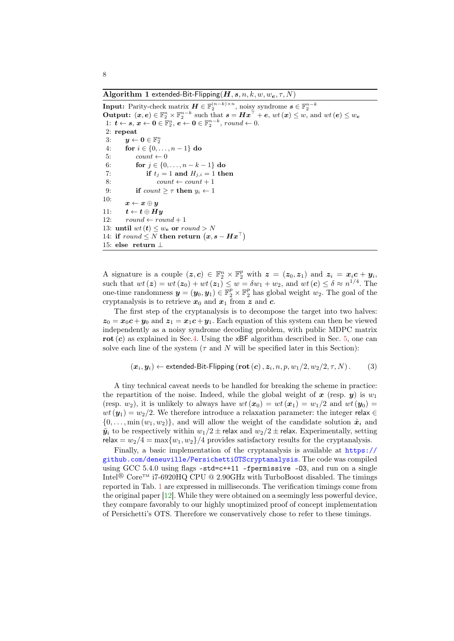<span id="page-7-1"></span><span id="page-7-0"></span>Algorithm 1 extended-Bit-Flipping  $(H, s, n, k, w, w_e, \tau, N)$ 

 $\begin{array}{l} \textbf{Input:} \ \text{Parity-check matrix} \ \pmb{H} \in \mathbb{F}_2^{(n-k) \times n}, \ \text{noisy syndrome} \ \pmb{s} \in \mathbb{F}_2^{n-k} \ \textbf{Output:} \ \ (\pmb{x}, \pmb{e}) \in \mathbb{F}_2^n \times \mathbb{F}_2^{n-k} \ \text{such that} \ \pmb{s} = \pmb{H} \pmb{x}^\top + \pmb{e}, \ wt\ (\pmb{x}) \leq w, \ \text{and} \ wt\ (\pmb{e}) \leq w_{\pmb{e}} \end{array}$ 1:  $t \leftarrow s, x \leftarrow 0 \in \mathbb{F}_2^n, e \leftarrow 0 \in \mathbb{F}_2^{n-k}, \text{round} \leftarrow 0.$ 2: repeat 3:  $y \leftarrow 0 \in \mathbb{F}_2^n$ 4: for  $i \in \{0, ..., n-1\}$  do 5:  $count \leftarrow 0$ 6: **for**  $j \in \{0, ..., n - k - 1\}$  do 7: if  $t_j = 1$  and  $H_{j,i} = 1$  then 8:  $count \leftarrow count + 1$ 9: if  $count > \tau$  then  $u_i \leftarrow 1$ 10:  $x \leftarrow x \oplus y$ 11:  $t \leftarrow t \oplus Hy$ 12:  $round \leftarrow round + 1$ 13: until  $wt(t) \leq w_e$  or  $round > N$ 14: if  $round \leq N$  then return  $(\boldsymbol{x}, \boldsymbol{s} - \boldsymbol{H}\boldsymbol{x}^{\top})$ 15: else return ⊥

A signature is a couple  $(z, c) \in \mathbb{F}_2^n \times \mathbb{F}_2^p$  with  $z = (z_0, z_1)$  and  $z_i = x_i c + y_i$ , such that  $wt(z) = wt(z_0) + wt(z_1) \leq w = \delta w_1 + w_2$ , and  $wt(c) \leq \delta \approx n^{1/4}$ . The one-time randomness  $\bm{y} = (\bm{y}_0, \bm{y}_1) \in \mathbb{F}_2^p \times \mathbb{F}_2^p$  has global weight  $w_2$ . The goal of the cryptanalysis is to retrieve  $x_0$  and  $x_1$  from z and c.

The first step of the cryptanalysis is to decompose the target into two halves:  $z_0 = x_0 c + y_0$  and  $z_1 = x_1 c + y_1$ . Each equation of this system can then be viewed independently as a noisy syndrome decoding problem, with public MDPC matrix rot  $(c)$  as explained in Sec[.4.](#page-5-0) Using the  $xBF$  algorithm described in Sec. [5,](#page-6-0) one can solve each line of the system ( $\tau$  and N will be specified later in this Section):

$$
(\boldsymbol{x}_i, \boldsymbol{y}_i) \leftarrow \text{extended-Bit-Flipping} \left(\textbf{rot}\left(\boldsymbol{c}\right), \boldsymbol{z}_i, n, p, w_1/2, w_2/2, \tau, N\right). \tag{3}
$$

A tiny technical caveat needs to be handled for breaking the scheme in practice: the repartition of the noise. Indeed, while the global weight of x (resp. y) is  $w_1$ (resp.  $w_2$ ), it is unlikely to always have  $wt(x_0) = wt(x_1) = w_1/2$  and  $wt(y_0) =$  $wt(\mathbf{y}_1) = w_2/2$ . We therefore introduce a relaxation parameter: the integer relax  $\in$  $\{0, \ldots, \min(w_1, w_2)\}\$ , and will allow the weight of the candidate solution  $\tilde{x}_i$  and  $\tilde{y}_i$  to be respectively within  $w_1/2 \pm$  relax and  $w_2/2 \pm$  relax. Experimentally, setting relax =  $w_2/4 = \max\{w_1, w_2\}/4$  provides satisfactory results for the cryptanalysis.

Finally, a basic implementation of the cryptanalysis is available at [https://](https://github.com/deneuville/PersichettiOTScryptanalysis) [github.com/deneuville/PersichettiOTScryptanalysis](https://github.com/deneuville/PersichettiOTScryptanalysis). The code was compiled using GCC 5.4.0 using flags -std=c++11 -fpermissive -O3, and run on a single Intel<sup>®</sup> Core<sup>TM</sup> i7-6920HQ CPU @ 2.90GHz with TurboBoost disabled. The timings reported in Tab. [1](#page-8-2) are expressed in milliseconds. The verification timings come from the original paper [\[12\]](#page-9-2). While they were obtained on a seemingly less powerful device, they compare favorably to our highly unoptimized proof of concept implementation of Persichetti's OTS. Therefore we conservatively chose to refer to these timings.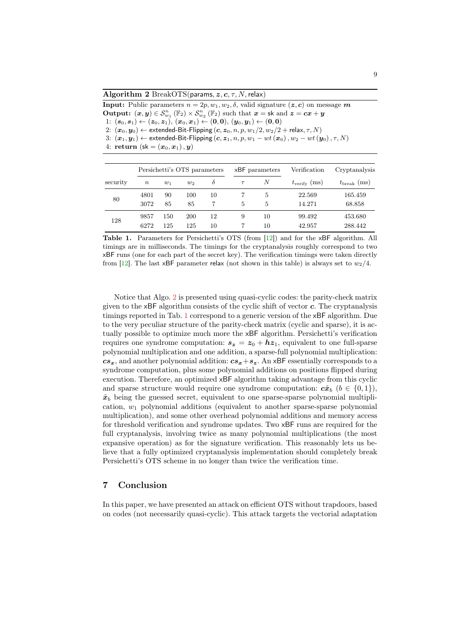<span id="page-8-3"></span><span id="page-8-1"></span>Algorithm 2 BreakOTS(params,  $z, c, \tau, N$ , relax)

**Input:** Public parameters  $n = 2p, w_1, w_2, \delta$ , valid signature  $(z, c)$  on message m Output:  $(x, y) \in S_{w_1}^n(\mathbb{F}_2) \times S_{w_2}^n(\mathbb{F}_2)$  such that  $x = \textsf{sk}$  and  $z = cx + y$ 1:  $(s_0, s_1) \leftarrow (z_0, z_1), (x_0, x_1) \leftarrow (0, 0), (y_0, y_1) \leftarrow (0, 0)$ 2:  $(\mathbf{x}_0, \mathbf{y}_0) \leftarrow$  extended-Bit-Flipping  $(c, z_0, n, p, w_1/2, w_2/2 + \text{relax}, \tau, N)$ 3:  $(\boldsymbol{x}_1, \boldsymbol{y}_1) \leftarrow$  extended-Bit-Flipping  $(\boldsymbol{c}, \boldsymbol{z}_1, n, p, w_1 - wt(\boldsymbol{x}_0), w_2 - wt(\boldsymbol{y}_0), \tau, N)$ 4: return  $({\sf sk} = (x_0, x_1), y)$ 

|          | Persichetti's OTS parameters |            |            | xBF parameters |   | Verification | Cryptanalysis         |                      |
|----------|------------------------------|------------|------------|----------------|---|--------------|-----------------------|----------------------|
| security | $\boldsymbol{n}$             | $w_1$      | $w_2$      | $\delta$       |   | N            | $t_{\rm verify}$ (ms) | $t_{\rm break}$ (ms) |
| 80       | 4801<br>3072                 | 90<br>85   | 100<br>85  | 10             | 5 | 5<br>5       | 22.569<br>14.271      | 165.459<br>68.858    |
| 128      | 9857<br>6272                 | 150<br>125 | 200<br>125 | 12<br>10       | 9 | 10<br>10     | 99.492<br>42.957      | 453.680<br>288.442   |

<span id="page-8-2"></span>Table 1. Parameters for Persichetti's OTS (from [\[12\]](#page-9-2)) and for the xBF algorithm. All timings are in milliseconds. The timings for the cryptanalysis roughly correspond to two xBF runs (one for each part of the secret key). The verification timings were taken directly from [\[12\]](#page-9-2). The last xBF parameter relax (not shown in this table) is always set to  $w_2/4$ .

Notice that Algo. [2](#page-8-1) is presented using quasi-cyclic codes: the parity-check matrix given to the  $xBF$  algorithm consists of the cyclic shift of vector  $c$ . The cryptanalysis timings reported in Tab. [1](#page-8-2) correspond to a generic version of the xBF algorithm. Due to the very peculiar structure of the parity-check matrix (cyclic and sparse), it is actually possible to optimize much more the xBF algorithm. Persichetti's verification requires one syndrome computation:  $s_z = z_0 + h z_1$ , equivalent to one full-sparse polynomial multiplication and one addition, a sparse-full polynomial multiplication:  $cs_x$ , and another polynomial addition:  $cs_x + s_z$ . An xBF essentially corresponds to a syndrome computation, plus some polynomial additions on positions flipped during execution. Therefore, an optimized xBF algorithm taking advantage from this cyclic and sparse structure would require one syndrome computation:  $c\tilde{x}_b$   $(b \in \{0,1\}),$  $\tilde{x}_b$  being the guessed secret, equivalent to one sparse-sparse polynomial multiplication,  $w_1$  polynomial additions (equivalent to another sparse-sparse polynomial multiplication), and some other overhead polynomial additions and memory access for threshold verification and syndrome updates. Two xBF runs are required for the full cryptanalysis, involving twice as many polynomial multiplications (the most expansive operation) as for the signature verification. This reasonably lets us believe that a fully optimized cryptanalysis implementation should completely break Persichetti's OTS scheme in no longer than twice the verification time.

#### <span id="page-8-0"></span>7 Conclusion

In this paper, we have presented an attack on efficient OTS without trapdoors, based on codes (not necessarily quasi-cyclic). This attack targets the vectorial adaptation